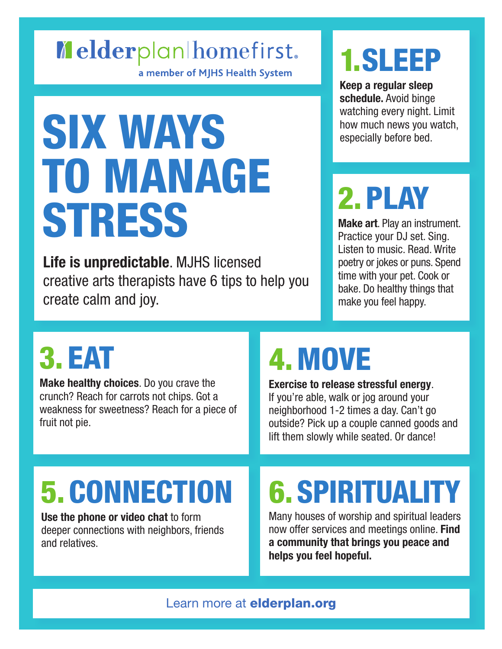#### Melderplanlhomefirst.

a member of MJHS Health System

# SIX WAYS<br>TO MANAGE **STRESS**

**Life is unpredictable**. MJHS licensed creative arts therapists have 6 tips to help you create calm and joy.

#### 1. SLEEP

**Keep a regular sleep schedule.** Avoid binge watching every night. Limit how much news you watch, especially before bed.

## 2.PLAY

**Make art**. Play an instrument. Practice your DJ set. Sing. Listen to music. Read. Write poetry or jokes or puns. Spend time with your pet. Cook or bake. Do healthy things that make you feel happy.

#### 3. EAT

**Make healthy choices**. Do you crave the crunch? Reach for carrots not chips. Got a weakness for sweetness? Reach for a piece of fruit not pie.

#### 4.MOVE

**Exercise to release stressful energy**. If you're able, walk or jog around your neighborhood 1-2 times a day. Can't go outside? Pick up a couple canned goods and lift them slowly while seated. Or dance!

## 5.CONNECTION

**Use the phone or video chat** to form deeper connections with neighbors, friends and relatives.

#### 6.SPIRITUALITY

Many houses of worship and spiritual leaders now offer services and meetings online. **Find a community that brings you peace and helps you feel hopeful.**

Learn more at **[elderplan.org](http://elderplan.org)**